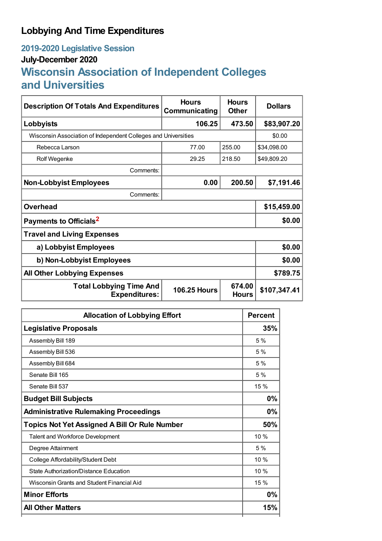### **Lobbying And Time Expenditures**

# **2019-2020 Legislative Session**

#### **July-December 2020**

## **Wisconsin Association of Independent Colleges and Universities**

| <b>Description Of Totals And Expenditures</b>                  | <b>Hours</b><br>Communicating | <b>Hours</b><br><b>Other</b> | <b>Dollars</b> |  |
|----------------------------------------------------------------|-------------------------------|------------------------------|----------------|--|
| Lobbyists                                                      | 106.25                        | 473.50                       | \$83,907.20    |  |
| Wisconsin Association of Independent Colleges and Universities |                               |                              | \$0.00         |  |
| Rebecca Larson                                                 | 77.00                         | 255.00                       | \$34,098.00    |  |
| Rolf Wegenke                                                   | 29.25                         | 218.50                       | \$49,809.20    |  |
| Comments:                                                      |                               |                              |                |  |
| <b>Non-Lobbyist Employees</b>                                  | 0.00                          | 200.50                       | \$7,191.46     |  |
| Comments:                                                      |                               |                              |                |  |
| <b>Overhead</b>                                                |                               |                              | \$15,459.00    |  |
| Payments to Officials <sup>2</sup>                             | \$0.00                        |                              |                |  |
| <b>Travel and Living Expenses</b>                              |                               |                              |                |  |
| a) Lobbyist Employees                                          | \$0.00                        |                              |                |  |
| b) Non-Lobbyist Employees                                      |                               |                              | \$0.00         |  |
| <b>All Other Lobbying Expenses</b>                             |                               |                              | \$789.75       |  |
| <b>Total Lobbying Time And</b><br><b>Expenditures:</b>         | <b>106.25 Hours</b>           | 674.00<br><b>Hours</b>       | \$107,347.41   |  |

| <b>Allocation of Lobbying Effort</b>                 | <b>Percent</b> |
|------------------------------------------------------|----------------|
| <b>Legislative Proposals</b>                         | 35%            |
| Assembly Bill 189                                    | 5%             |
| Assembly Bill 536                                    | 5%             |
| Assembly Bill 684                                    | 5%             |
| Senate Bill 165                                      | 5%             |
| Senate Bill 537                                      | 15 %           |
| <b>Budget Bill Subjects</b>                          | 0%             |
| <b>Administrative Rulemaking Proceedings</b>         | 0%             |
| <b>Topics Not Yet Assigned A Bill Or Rule Number</b> | 50%            |
| Talent and Workforce Development                     | 10%            |
| Degree Attainment                                    | 5%             |
| College Affordability/Student Debt                   | 10 %           |
| State Authorization/Distance Education               | 10 %           |
| Wisconsin Grants and Student Financial Aid           | 15%            |
| <b>Minor Efforts</b>                                 | 0%             |
| <b>All Other Matters</b>                             | 15%            |